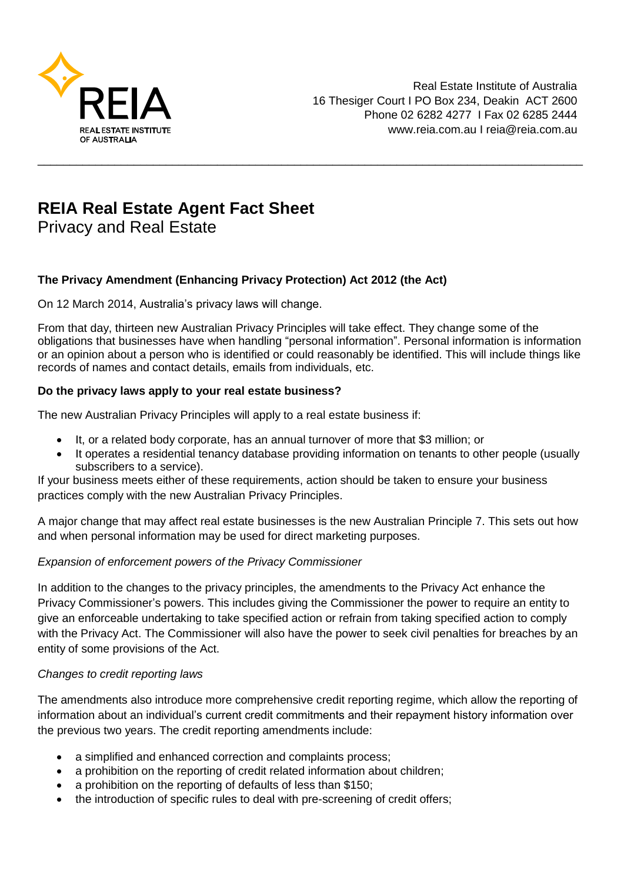

# **REIA Real Estate Agent Fact Sheet**

Privacy and Real Estate

## **The Privacy Amendment (Enhancing Privacy Protection) Act 2012 (the Act)**

On 12 March 2014, Australia's privacy laws will change.

From that day, thirteen new Australian Privacy Principles will take effect. They change some of the obligations that businesses have when handling "personal information". Personal information is information or an opinion about a person who is identified or could reasonably be identified. This will include things like records of names and contact details, emails from individuals, etc.

\_\_\_\_\_\_\_\_\_\_\_\_\_\_\_\_\_\_\_\_\_\_\_\_\_\_\_\_\_\_\_\_\_\_\_\_\_\_\_\_\_\_\_\_\_\_\_\_\_\_\_\_\_\_\_\_\_\_\_\_\_\_\_\_\_\_\_\_\_\_\_\_\_\_\_\_\_\_\_\_\_\_\_\_\_

### **Do the privacy laws apply to your real estate business?**

The new Australian Privacy Principles will apply to a real estate business if:

- It, or a related body corporate, has an annual turnover of more that \$3 million; or
- It operates a residential tenancy database providing information on tenants to other people (usually subscribers to a service).

If your business meets either of these requirements, action should be taken to ensure your business practices comply with the new Australian Privacy Principles.

A major change that may affect real estate businesses is the new Australian Principle 7. This sets out how and when personal information may be used for direct marketing purposes.

#### *Expansion of enforcement powers of the Privacy Commissioner*

In addition to the changes to the privacy principles, the amendments to the Privacy Act enhance the Privacy Commissioner's powers. This includes giving the Commissioner the power to require an entity to give an enforceable undertaking to take specified action or refrain from taking specified action to comply with the Privacy Act. The Commissioner will also have the power to seek civil penalties for breaches by an entity of some provisions of the Act.

#### *Changes to credit reporting laws*

The amendments also introduce more comprehensive credit reporting regime, which allow the reporting of information about an individual's current credit commitments and their repayment history information over the previous two years. The credit reporting amendments include:

- a simplified and enhanced correction and complaints process;
- a prohibition on the reporting of credit related information about children;
- a prohibition on the reporting of defaults of less than \$150;
- the introduction of specific rules to deal with pre-screening of credit offers: